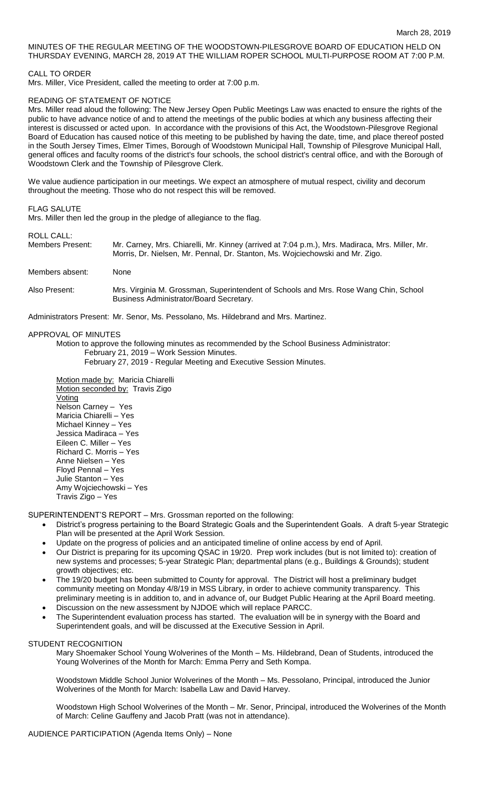# MINUTES OF THE REGULAR MEETING OF THE WOODSTOWN-PILESGROVE BOARD OF EDUCATION HELD ON THURSDAY EVENING, MARCH 28, 2019 AT THE WILLIAM ROPER SCHOOL MULTI-PURPOSE ROOM AT 7:00 P.M.

CALL TO ORDER

Mrs. Miller, Vice President, called the meeting to order at 7:00 p.m.

### READING OF STATEMENT OF NOTICE

Mrs. Miller read aloud the following: The New Jersey Open Public Meetings Law was enacted to ensure the rights of the public to have advance notice of and to attend the meetings of the public bodies at which any business affecting their interest is discussed or acted upon. In accordance with the provisions of this Act, the Woodstown-Pilesgrove Regional Board of Education has caused notice of this meeting to be published by having the date, time, and place thereof posted in the South Jersey Times, Elmer Times, Borough of Woodstown Municipal Hall, Township of Pilesgrove Municipal Hall, general offices and faculty rooms of the district's four schools, the school district's central office, and with the Borough of Woodstown Clerk and the Township of Pilesgrove Clerk.

We value audience participation in our meetings. We expect an atmosphere of mutual respect, civility and decorum throughout the meeting. Those who do not respect this will be removed.

### FLAG SALUTE

Mrs. Miller then led the group in the pledge of allegiance to the flag.

#### ROLL CALL:

| Members Present: | Mr. Carney, Mrs. Chiarelli, Mr. Kinney (arrived at 7:04 p.m.), Mrs. Madiraca, Mrs. Miller, Mr.<br>Morris, Dr. Nielsen, Mr. Pennal, Dr. Stanton, Ms. Wojciechowski and Mr. Zigo. |
|------------------|---------------------------------------------------------------------------------------------------------------------------------------------------------------------------------|
| Members absent:  | <b>None</b>                                                                                                                                                                     |

Also Present: Mrs. Virginia M. Grossman, Superintendent of Schools and Mrs. Rose Wang Chin, School Business Administrator/Board Secretary.

Administrators Present: Mr. Senor, Ms. Pessolano, Ms. Hildebrand and Mrs. Martinez.

## APPROVAL OF MINUTES

Motion to approve the following minutes as recommended by the School Business Administrator: February 21, 2019 – Work Session Minutes.

February 27, 2019 - Regular Meeting and Executive Session Minutes.

Motion made by: Maricia Chiarelli Motion seconded by: Travis Zigo Voting Nelson Carney – Yes Maricia Chiarelli – Yes Michael Kinney – Yes Jessica Madiraca – Yes Eileen C. Miller – Yes Richard C. Morris – Yes Anne Nielsen – Yes Floyd Pennal – Yes Julie Stanton – Yes Amy Wojciechowski – Yes Travis Zigo – Yes

SUPERINTENDENT'S REPORT – Mrs. Grossman reported on the following:

- District's progress pertaining to the Board Strategic Goals and the Superintendent Goals. A draft 5-year Strategic Plan will be presented at the April Work Session.
- Update on the progress of policies and an anticipated timeline of online access by end of April.
- Our District is preparing for its upcoming QSAC in 19/20. Prep work includes (but is not limited to): creation of new systems and processes; 5-year Strategic Plan; departmental plans (e.g., Buildings & Grounds); student growth objectives; etc.
- The 19/20 budget has been submitted to County for approval. The District will host a preliminary budget community meeting on Monday 4/8/19 in MSS Library, in order to achieve community transparency. This preliminary meeting is in addition to, and in advance of, our Budget Public Hearing at the April Board meeting.
- Discussion on the new assessment by NJDOE which will replace PARCC.
- The Superintendent evaluation process has started. The evaluation will be in synergy with the Board and Superintendent goals, and will be discussed at the Executive Session in April.

## STUDENT RECOGNITION

Mary Shoemaker School Young Wolverines of the Month – Ms. Hildebrand, Dean of Students, introduced the Young Wolverines of the Month for March: Emma Perry and Seth Kompa.

Woodstown Middle School Junior Wolverines of the Month – Ms. Pessolano, Principal, introduced the Junior Wolverines of the Month for March: Isabella Law and David Harvey.

Woodstown High School Wolverines of the Month – Mr. Senor, Principal, introduced the Wolverines of the Month of March: Celine Gauffeny and Jacob Pratt (was not in attendance).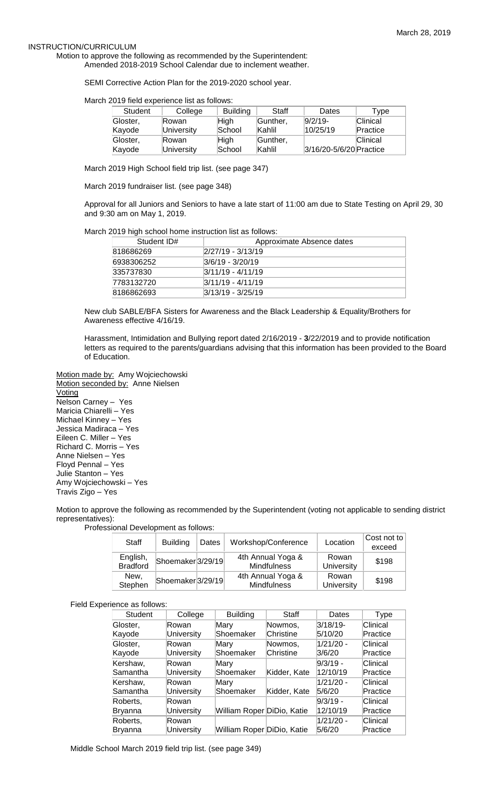### INSTRUCTION/CURRICULUM

Motion to approve the following as recommended by the Superintendent: Amended 2018-2019 School Calendar due to inclement weather.

SEMI Corrective Action Plan for the 2019-2020 school year.

March 2019 field experience list as follows:

| Student  | College    | <b>Building</b> | Staff    | Dates                   | Tvpe     |
|----------|------------|-----------------|----------|-------------------------|----------|
| Gloster, | lRowan.    | Hiah            | Gunther, | $9/2/19$ -              | Clinical |
| Kayode   | University | School          | Kahlil   | 10/25/19                | Practice |
| Gloster, | lRowan.    | <b>High</b>     | Gunther, |                         | Clinical |
| Kayode   | University | School          | Kahlil   | 3/16/20-5/6/20 Practice |          |

March 2019 High School field trip list. (see page 347)

March 2019 fundraiser list. (see page 348)

Approval for all Juniors and Seniors to have a late start of 11:00 am due to State Testing on April 29, 30 and 9:30 am on May 1, 2019.

March 2019 high school home instruction list as follows:

| Student ID# | Approximate Absence dates |
|-------------|---------------------------|
| 818686269   | 2/27/19 - 3/13/19         |
| 6938306252  | 3/6/19 - 3/20/19          |
| 335737830   | $ 3/11/19 - 4/11/19 $     |
| 7783132720  | $ 3/11/19 - 4/11/19 $     |
| 8186862693  | 3/13/19 - 3/25/19         |

New club SABLE/BFA Sisters for Awareness and the Black Leadership & Equality/Brothers for Awareness effective 4/16/19.

Harassment, Intimidation and Bullying report dated 2/16/2019 - **3**/22/2019 and to provide notification letters as required to the parents/guardians advising that this information has been provided to the Board of Education.

Motion made by: Amy Wojciechowski Motion seconded by: Anne Nielsen Voting Nelson Carney – Yes Maricia Chiarelli – Yes Michael Kinney – Yes Jessica Madiraca – Yes Eileen C. Miller – Yes Richard C. Morris – Yes Anne Nielsen – Yes Floyd Pennal – Yes Julie Stanton – Yes Amy Wojciechowski – Yes Travis Zigo – Yes

Motion to approve the following as recommended by the Superintendent (voting not applicable to sending district representatives):

Professional Development as follows:

| Staff                       | <b>Building</b>               | Dates | Workshop/Conference              | Location                   | Cost not to<br>exceed |
|-----------------------------|-------------------------------|-------|----------------------------------|----------------------------|-----------------------|
| English,<br><b>Bradford</b> | Shoemaker <sub>3</sub> /29/19 |       | 4th Annual Yoga &<br>Mindfulness | Rowan<br><b>University</b> | \$198                 |
| New,<br>Stephen             | Shoemaker <sup>3</sup> /29/19 |       | 4th Annual Yoga &<br>Mindfulness | Rowan<br><b>University</b> | \$198                 |

Field Experience as follows:

| Student        | College           | <b>Building</b>            | Staff        | Dates       | <b>Type</b> |
|----------------|-------------------|----------------------------|--------------|-------------|-------------|
| Gloster.       | Rowan             | Mary                       | Nowmos,      | $3/18/19$ - | Clinical    |
| Kayode         | <b>University</b> | Shoemaker                  | Christine    | 5/10/20     | Practice    |
| Gloster,       | Rowan             | Mary                       | Nowmos,      | 1/21/20 -   | Clinical    |
| Kayode         | <b>University</b> | Shoemaker                  | Christine    | 3/6/20      | Practice    |
| Kershaw,       | Rowan             | Mary                       |              | 9/3/19 -    | Clinical    |
| Samantha       | <b>University</b> | Shoemaker                  | Kidder, Kate | 12/10/19    | Practice    |
| Kershaw,       | Rowan             | Mary                       |              | 1/21/20 -   | Clinical    |
| Samantha       | University        | Shoemaker                  | Kidder, Kate | 5/6/20      | Practice    |
| Roberts,       | Rowan             |                            |              | 9/3/19 -    | Clinical    |
| Bryanna        | <b>University</b> | William Roper DiDio, Katie |              | 12/10/19    | Practice    |
| Roberts,       | Rowan             |                            |              | 1/21/20 -   | Clinical    |
| <b>Bryanna</b> | University        | William Roper DiDio, Katie |              | 5/6/20      | Practice    |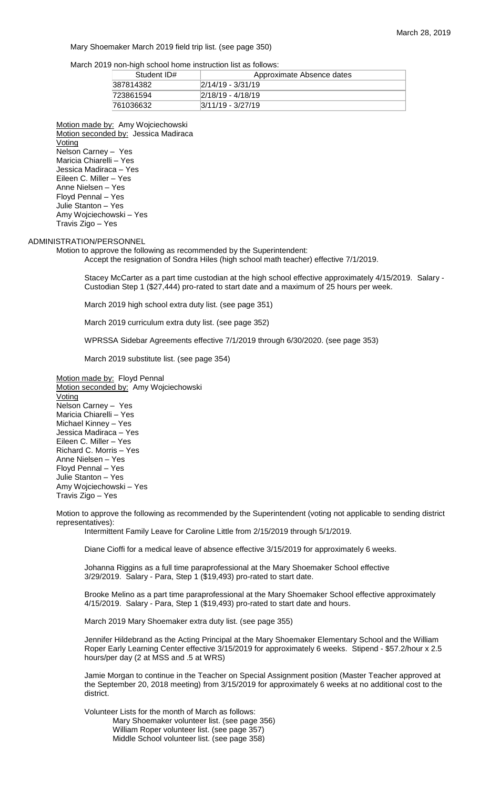Mary Shoemaker March 2019 field trip list. (see page 350)

March 2019 non-high school home instruction list as follows:

| Student ID# | Approximate Absence dates |
|-------------|---------------------------|
| 387814382   | $2/14/19 - 3/31/19$       |
| 723861594   | $2/18/19 - 4/18/19$       |
| 761036632   | $ 3/11/19 - 3/27/19 $     |

Motion made by: Amy Wojciechowski Motion seconded by: Jessica Madiraca Voting Nelson Carney – Yes Maricia Chiarelli – Yes Jessica Madiraca – Yes Eileen C. Miller – Yes Anne Nielsen – Yes Floyd Pennal – Yes Julie Stanton – Yes Amy Wojciechowski – Yes Travis Zigo – Yes

## ADMINISTRATION/PERSONNEL

Motion to approve the following as recommended by the Superintendent:

Accept the resignation of Sondra Hiles (high school math teacher) effective 7/1/2019.

Stacey McCarter as a part time custodian at the high school effective approximately 4/15/2019. Salary - Custodian Step 1 (\$27,444) pro-rated to start date and a maximum of 25 hours per week.

March 2019 high school extra duty list. (see page 351)

March 2019 curriculum extra duty list. (see page 352)

WPRSSA Sidebar Agreements effective 7/1/2019 through 6/30/2020. (see page 353)

March 2019 substitute list. (see page 354)

Motion made by: Floyd Pennal Motion seconded by: Amy Wojciechowski **Voting** Nelson Carney – Yes Maricia Chiarelli – Yes Michael Kinney – Yes Jessica Madiraca – Yes Eileen C. Miller – Yes Richard C. Morris – Yes Anne Nielsen – Yes Floyd Pennal – Yes Julie Stanton – Yes Amy Wojciechowski – Yes Travis Zigo – Yes

Motion to approve the following as recommended by the Superintendent (voting not applicable to sending district representatives):

Intermittent Family Leave for Caroline Little from 2/15/2019 through 5/1/2019.

Diane Cioffi for a medical leave of absence effective 3/15/2019 for approximately 6 weeks.

Johanna Riggins as a full time paraprofessional at the Mary Shoemaker School effective 3/29/2019. Salary - Para, Step 1 (\$19,493) pro-rated to start date.

Brooke Melino as a part time paraprofessional at the Mary Shoemaker School effective approximately 4/15/2019. Salary - Para, Step 1 (\$19,493) pro-rated to start date and hours.

March 2019 Mary Shoemaker extra duty list. (see page 355)

Jennifer Hildebrand as the Acting Principal at the Mary Shoemaker Elementary School and the William Roper Early Learning Center effective 3/15/2019 for approximately 6 weeks. Stipend - \$57.2/hour x 2.5 hours/per day (2 at MSS and .5 at WRS)

Jamie Morgan to continue in the Teacher on Special Assignment position (Master Teacher approved at the September 20, 2018 meeting) from 3/15/2019 for approximately 6 weeks at no additional cost to the district.

Volunteer Lists for the month of March as follows: Mary Shoemaker volunteer list. (see page 356) William Roper volunteer list. (see page 357) Middle School volunteer list. (see page 358)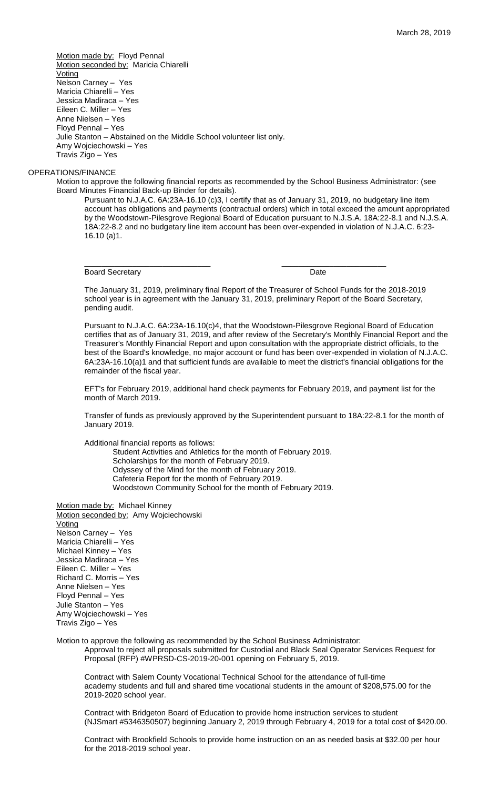Motion made by: Floyd Pennal Motion seconded by: Maricia Chiarelli **Voting** Nelson Carney – Yes Maricia Chiarelli – Yes Jessica Madiraca – Yes Eileen C. Miller – Yes Anne Nielsen – Yes Floyd Pennal – Yes Julie Stanton – Abstained on the Middle School volunteer list only. Amy Wojciechowski – Yes Travis Zigo – Yes

## OPERATIONS/FINANCE

Motion to approve the following financial reports as recommended by the School Business Administrator: (see Board Minutes Financial Back-up Binder for details).

Pursuant to N.J.A.C. 6A:23A-16.10 (c)3, I certify that as of January 31, 2019, no budgetary line item account has obligations and payments (contractual orders) which in total exceed the amount appropriated by the Woodstown-Pilesgrove Regional Board of Education pursuant to N.J.S.A. 18A:22-8.1 and N.J.S.A. 18A:22-8.2 and no budgetary line item account has been over-expended in violation of N.J.A.C. 6:23- 16.10 (a)1.

Board Secretary **Date** 

\_\_\_\_\_\_\_\_\_\_\_\_\_\_\_\_\_\_\_\_\_\_\_\_\_\_\_\_\_ \_\_\_\_\_\_\_\_\_\_\_\_\_\_\_\_\_\_\_\_\_\_\_\_

The January 31, 2019, preliminary final Report of the Treasurer of School Funds for the 2018-2019 school year is in agreement with the January 31, 2019, preliminary Report of the Board Secretary, pending audit.

Pursuant to N.J.A.C. 6A:23A-16.10(c)4, that the Woodstown-Pilesgrove Regional Board of Education certifies that as of January 31, 2019, and after review of the Secretary's Monthly Financial Report and the Treasurer's Monthly Financial Report and upon consultation with the appropriate district officials, to the best of the Board's knowledge, no major account or fund has been over-expended in violation of N.J.A.C. 6A:23A-16.10(a)1 and that sufficient funds are available to meet the district's financial obligations for the remainder of the fiscal year.

EFT's for February 2019, additional hand check payments for February 2019, and payment list for the month of March 2019.

Transfer of funds as previously approved by the Superintendent pursuant to 18A:22-8.1 for the month of January 2019.

Additional financial reports as follows:

Student Activities and Athletics for the month of February 2019. Scholarships for the month of February 2019. Odyssey of the Mind for the month of February 2019. Cafeteria Report for the month of February 2019.

Woodstown Community School for the month of February 2019.

Motion made by: Michael Kinney Motion seconded by: Amy Wojciechowski **Voting** Nelson Carney – Yes Maricia Chiarelli – Yes Michael Kinney - Yes Jessica Madiraca – Yes Eileen C. Miller – Yes Richard C. Morris – Yes Anne Nielsen – Yes Floyd Pennal – Yes Julie Stanton – Yes Amy Wojciechowski – Yes Travis Zigo – Yes

Motion to approve the following as recommended by the School Business Administrator:

Approval to reject all proposals submitted for Custodial and Black Seal Operator Services Request for Proposal (RFP) #WPRSD-CS-2019-20-001 opening on February 5, 2019.

Contract with Salem County Vocational Technical School for the attendance of full-time academy students and full and shared time vocational students in the amount of \$208,575.00 for the 2019-2020 school year.

Contract with Bridgeton Board of Education to provide home instruction services to student (NJSmart #5346350507) beginning January 2, 2019 through February 4, 2019 for a total cost of \$420.00.

Contract with Brookfield Schools to provide home instruction on an as needed basis at \$32.00 per hour for the 2018-2019 school year.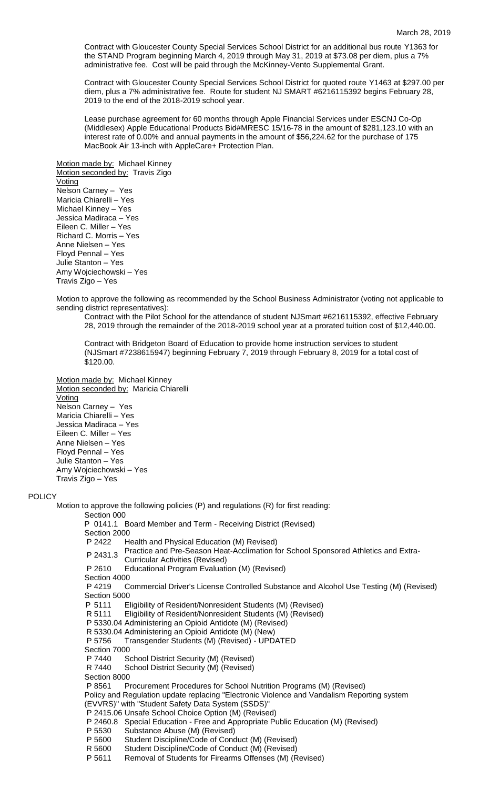Contract with Gloucester County Special Services School District for an additional bus route Y1363 for the STAND Program beginning March 4, 2019 through May 31, 2019 at \$73.08 per diem, plus a 7% administrative fee. Cost will be paid through the McKinney-Vento Supplemental Grant.

Contract with Gloucester County Special Services School District for quoted route Y1463 at \$297.00 per diem, plus a 7% administrative fee. Route for student NJ SMART #6216115392 begins February 28, 2019 to the end of the 2018-2019 school year.

Lease purchase agreement for 60 months through Apple Financial Services under ESCNJ Co-Op (Middlesex) Apple Educational Products Bid#MRESC 15/16-78 in the amount of \$281,123.10 with an interest rate of 0.00% and annual payments in the amount of \$56,224.62 for the purchase of 175 MacBook Air 13-inch with AppleCare+ Protection Plan.

Motion made by: Michael Kinney Motion seconded by: Travis Zigo **Voting** Nelson Carney – Yes Maricia Chiarelli – Yes Michael Kinney – Yes Jessica Madiraca – Yes Eileen C. Miller – Yes Richard C. Morris – Yes Anne Nielsen – Yes Floyd Pennal – Yes Julie Stanton – Yes Amy Wojciechowski – Yes Travis Zigo – Yes

Motion to approve the following as recommended by the School Business Administrator (voting not applicable to sending district representatives):

Contract with the Pilot School for the attendance of student NJSmart #6216115392, effective February 28, 2019 through the remainder of the 2018-2019 school year at a prorated tuition cost of \$12,440.00.

Contract with Bridgeton Board of Education to provide home instruction services to student (NJSmart #7238615947) beginning February 7, 2019 through February 8, 2019 for a total cost of \$120.00.

Motion made by: Michael Kinney Motion seconded by: Maricia Chiarelli Voting Nelson Carney – Yes Maricia Chiarelli – Yes Jessica Madiraca – Yes Eileen C. Miller – Yes Anne Nielsen – Yes Floyd Pennal – Yes Julie Stanton – Yes Amy Wojciechowski – Yes Travis Zigo – Yes

#### **POLICY**

Motion to approve the following policies (P) and regulations (R) for first reading: Section 000 P 0141.1 Board Member and Term - Receiving District (Revised) Section 2000 P 2422 Health and Physical Education (M) Revised) P 2431.3 Practice and Pre-Season Heat-Acclimation for School Sponsored Athletics and Extra-Curricular Activities (Revised) P 2610 Educational Program Evaluation (M) (Revised) Section 4000 P 4219 Commercial Driver's License Controlled Substance and Alcohol Use Testing (M) (Revised) Section 5000 P 5111 Eligibility of Resident/Nonresident Students (M) (Revised) Eligibility of Resident/Nonresident Students (M) (Revised) P 5330.04 Administering an Opioid Antidote (M) (Revised) R 5330.04 Administering an Opioid Antidote (M) (New) P 5756 Transgender Students (M) (Revised) - UPDATED Section 7000 P 7440 School District Security (M) (Revised) R 7440 School District Security (M) (Revised) Section 8000 P 8561 Procurement Procedures for School Nutrition Programs (M) (Revised) Policy and Regulation update replacing "Electronic Violence and Vandalism Reporting system (EVVRS)" with "Student Safety Data System (SSDS)" P 2415.06 Unsafe School Choice Option (M) (Revised) P 2460.8 Special Education - Free and Appropriate Public Education (M) (Revised) P 5530 Substance Abuse (M) (Revised) Student Discipline/Code of Conduct (M) (Revised) R 5600 Student Discipline/Code of Conduct (M) (Revised) P 5611 Removal of Students for Firearms Offenses (M) (Revised)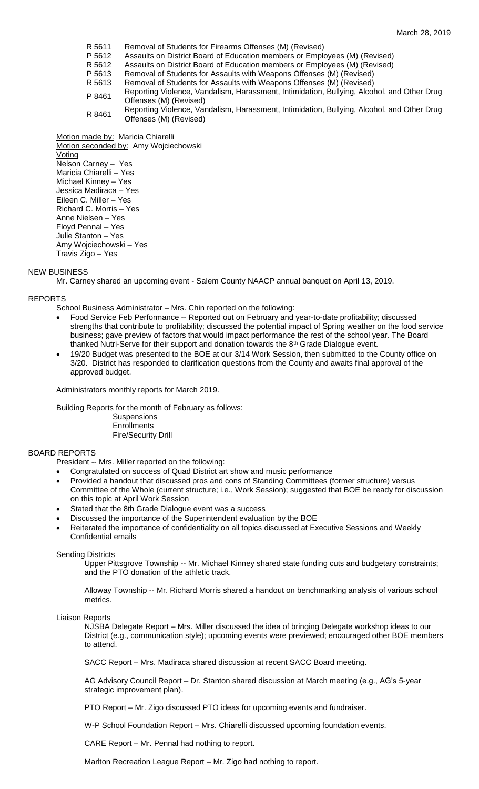- R 5611 Removal of Students for Firearms Offenses (M) (Revised)
- P 5612 Assaults on District Board of Education members or Employees (M) (Revised)
- R 5612 Assaults on District Board of Education members or Employees (M) (Revised)<br>P 5613 Removal of Students for Assaults with Weapons Offenses (M) (Revised)
- Removal of Students for Assaults with Weapons Offenses (M) (Revised)
- R 5613 Removal of Students for Assaults with Weapons Offenses (M) (Revised)
- P 8461 Reporting Violence, Vandalism, Harassment, Intimidation, Bullying, Alcohol, and Other Drug Offenses (M) (Revised)
- R 8461 Reporting Violence, Vandalism, Harassment, Intimidation, Bullying, Alcohol, and Other Drug Offenses (M) (Revised)

Motion made by: Maricia Chiarelli Motion seconded by: Amy Wojciechowski **Voting** Nelson Carney – Yes Maricia Chiarelli – Yes Michael Kinney – Yes Jessica Madiraca – Yes Eileen C. Miller – Yes Richard C. Morris – Yes Anne Nielsen – Yes Floyd Pennal – Yes Julie Stanton – Yes Amy Wojciechowski – Yes Travis Zigo – Yes

# NEW BUSINESS

Mr. Carney shared an upcoming event - Salem County NAACP annual banquet on April 13, 2019.

# REPORTS

School Business Administrator – Mrs. Chin reported on the following:

- Food Service Feb Performance -- Reported out on February and year-to-date profitability; discussed strengths that contribute to profitability; discussed the potential impact of Spring weather on the food service business; gave preview of factors that would impact performance the rest of the school year. The Board thanked Nutri-Serve for their support and donation towards the 8<sup>th</sup> Grade Dialogue event.
- 19/20 Budget was presented to the BOE at our 3/14 Work Session, then submitted to the County office on 3/20. District has responded to clarification questions from the County and awaits final approval of the approved budget.

Administrators monthly reports for March 2019.

Building Reports for the month of February as follows: **Suspensions Enrollments** Fire/Security Drill

# BOARD REPORTS

President -- Mrs. Miller reported on the following:

- Congratulated on success of Quad District art show and music performance
- Provided a handout that discussed pros and cons of Standing Committees (former structure) versus Committee of the Whole (current structure; i.e., Work Session); suggested that BOE be ready for discussion on this topic at April Work Session
- Stated that the 8th Grade Dialogue event was a success
- Discussed the importance of the Superintendent evaluation by the BOE
- Reiterated the importance of confidentiality on all topics discussed at Executive Sessions and Weekly Confidential emails

#### Sending Districts

Upper Pittsgrove Township -- Mr. Michael Kinney shared state funding cuts and budgetary constraints; and the PTO donation of the athletic track.

Alloway Township -- Mr. Richard Morris shared a handout on benchmarking analysis of various school metrics.

Liaison Reports

NJSBA Delegate Report – Mrs. Miller discussed the idea of bringing Delegate workshop ideas to our District (e.g., communication style); upcoming events were previewed; encouraged other BOE members to attend.

SACC Report – Mrs. Madiraca shared discussion at recent SACC Board meeting.

AG Advisory Council Report – Dr. Stanton shared discussion at March meeting (e.g., AG's 5-year strategic improvement plan).

PTO Report – Mr. Zigo discussed PTO ideas for upcoming events and fundraiser.

W-P School Foundation Report – Mrs. Chiarelli discussed upcoming foundation events.

CARE Report – Mr. Pennal had nothing to report.

Marlton Recreation League Report – Mr. Zigo had nothing to report.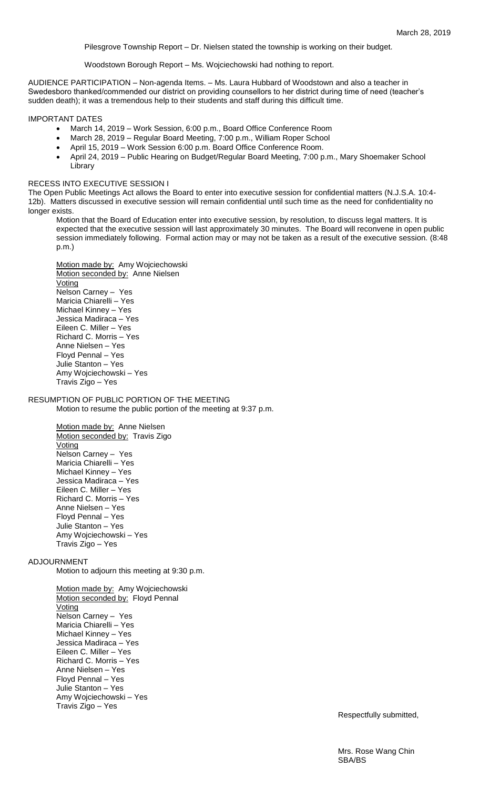Pilesgrove Township Report – Dr. Nielsen stated the township is working on their budget.

Woodstown Borough Report – Ms. Wojciechowski had nothing to report.

AUDIENCE PARTICIPATION – Non-agenda Items. – Ms. Laura Hubbard of Woodstown and also a teacher in Swedesboro thanked/commended our district on providing counsellors to her district during time of need (teacher's sudden death); it was a tremendous help to their students and staff during this difficult time.

IMPORTANT DATES

- March 14, 2019 Work Session, 6:00 p.m., Board Office Conference Room
- March 28, 2019 Regular Board Meeting, 7:00 p.m., William Roper School
- April 15, 2019 Work Session 6:00 p.m. Board Office Conference Room.
- April 24, 2019 Public Hearing on Budget/Regular Board Meeting, 7:00 p.m., Mary Shoemaker School Library

## RECESS INTO EXECUTIVE SESSION I

The Open Public Meetings Act allows the Board to enter into executive session for confidential matters (N.J.S.A. 10:4- 12b). Matters discussed in executive session will remain confidential until such time as the need for confidentiality no longer exists.

Motion that the Board of Education enter into executive session, by resolution, to discuss legal matters. It is expected that the executive session will last approximately 30 minutes. The Board will reconvene in open public session immediately following. Formal action may or may not be taken as a result of the executive session. (8:48 p.m.)

Motion made by: Amy Wojciechowski Motion seconded by: Anne Nielsen Voting Nelson Carney – Yes Maricia Chiarelli – Yes Michael Kinney – Yes Jessica Madiraca – Yes Eileen C. Miller – Yes Richard C. Morris – Yes Anne Nielsen – Yes Floyd Pennal – Yes Julie Stanton – Yes Amy Wojciechowski – Yes Travis Zigo – Yes

### RESUMPTION OF PUBLIC PORTION OF THE MEETING Motion to resume the public portion of the meeting at 9:37 p.m.

Motion made by: Anne Nielsen Motion seconded by: Travis Zigo **Voting** Nelson Carney – Yes Maricia Chiarelli – Yes Michael Kinney – Yes Jessica Madiraca – Yes Eileen C. Miller – Yes Richard C. Morris – Yes Anne Nielsen – Yes Floyd Pennal – Yes Julie Stanton – Yes Amy Wojciechowski – Yes Travis Zigo – Yes

## ADJOURNMENT

Motion to adjourn this meeting at 9:30 p.m.

Motion made by: Amy Wojciechowski Motion seconded by: Floyd Pennal Voting Nelson Carney – Yes Maricia Chiarelli – Yes Michael Kinney – Yes Jessica Madiraca – Yes Eileen C. Miller – Yes Richard C. Morris – Yes Anne Nielsen – Yes Floyd Pennal – Yes Julie Stanton – Yes Amy Wojciechowski – Yes Travis Zigo – Yes

Respectfully submitted,